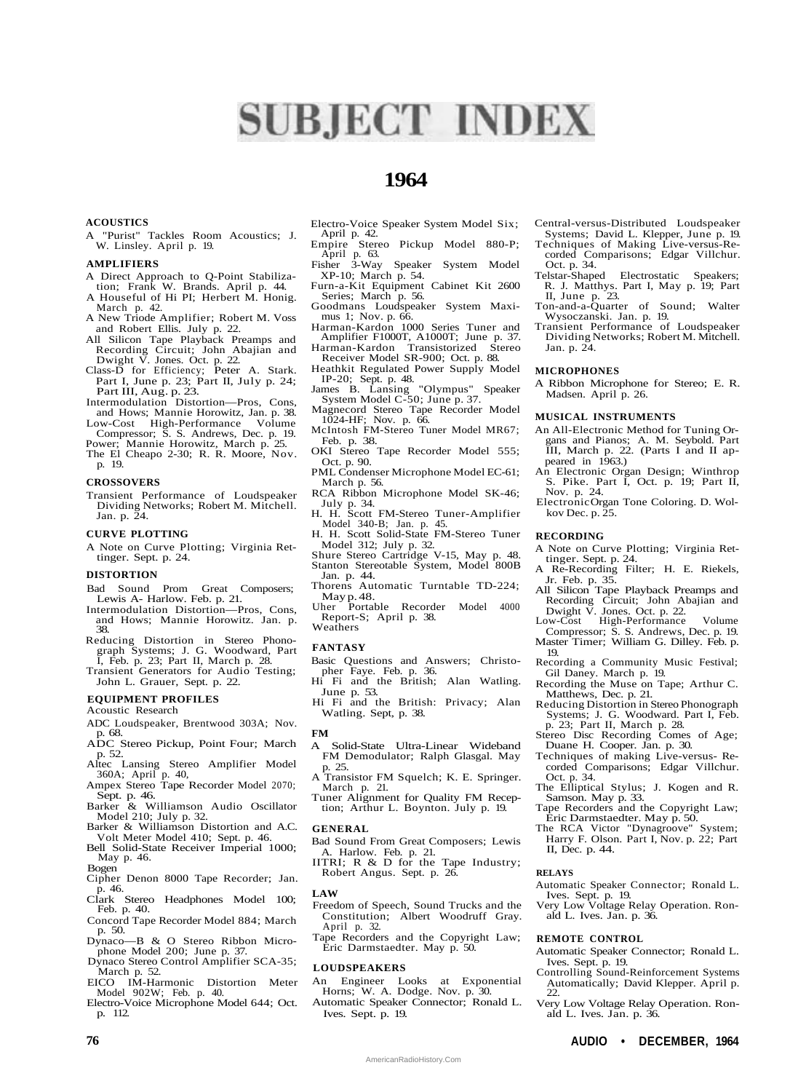# **SUBJECT INDEX**

## **1964**

#### **ACOUSTICS**

A "Purist" Tackles Room Acoustics; J. W. Linsley. April p. 19.

#### **AMPLIFIERS**

- A Direct Approach to Q-Point Stabilization; Frank W. Brands. April p. 44. A Houseful of Hi PI; Herbert M. Honig.
- March p. 42. A New Triode Amplifier; Robert M. Voss
- and Robert Ellis. July p. 22.
- All Silicon Tape Playback Preamps and Recording Circuit; John Abajian and Dwight V. Jones. Oct. p. 22. Class-D for Efficiency; Peter A. Stark.
- Part I, June p. 23; Part II, July p. 24; Part III, Aug. p. 23.
- Intermodulation Distortion—Pros, Cons, and Hows; Mannie Horowitz, Jan. p. 38.
- Low-Cost High-Performance Volume

Compressor; S. S. Andrews, Dec. p. 19. Power; Mannie Horowitz, March p. 25. The El Cheapo 2-30; R. R. Moore, Nov.

p. 19.

#### **CROSSOVERS**

Transient Performance of Loudspeaker Dividing Networks; Robert M. Mitchell. Jan. p. 24.

#### **CURVE PLOTTING**

A Note on Curve Plotting; Virginia Rettinger. Sept. p. 24.

#### **DISTORTION**

- Bad Sound Prom Great Composers; Lewis A- Harlow. Feb. p. 21.
- Intermodulation Distortion—Pros, Cons, and Hows; Mannie Horowitz. Jan. p. 38.
- Reducing Distortion in Stereo Phonograph Systems; J. G. Woodward, Part I, Feb. p. 23; Part II, March p. 28. Transient Generators for Audio Testing;
- John L. Grauer, Sept. p. 22.
- **EQUIPMENT PROFILES**

#### Acoustic Research

- ADC Loudspeaker, Brentwood 303A; Nov. p. 68.
- ADC Stereo Pickup, Point Four; March p. 52.
- Altec Lansing Stereo Amplifier Model 360A; April p. 40,
- Ampex Stereo Tape Recorder Model 2070;
- Sept. p. 46. Barker & Williamson Audio Oscillator Model 210; July p. 32.
- Barker & Williamson Distortion and A.C. Volt Meter Model 410; Sept. p. 46.
- Bell Solid-State Receiver Imperial 1000; May p. 46.
- Bogen
- Cipher Denon 8000 Tape Recorder; Jan. p. 46.
- Clark Stereo Headphones Model 100; Feb. p. 40.
- Concord Tape Recorder Model 884; March p. 50.
- Dynaco—B & O Stereo Ribbon Microphone Model 200; June p. 37.
- Dynaco Stereo Control Amplifier SCA-35; March p. 52.
- EICO IM-Harmonic Distortion Meter Model 902W; Feb. p. 40.
- Electro-Voice Microphone Model 644; Oct. p. 112.
- Electro-Voice Speaker System Model Six; April p. 42.
- Empire Stereo Pickup Model 880-P; April p. 63.<br>Fisher 3-Way
- Speaker System Model XP-10; March p. 54.
- Furn-a-Kit Equipment Cabinet Kit 2600 Series; March p. 56.
- Goodmans Loudspeaker System Maximus 1; Nov. p. 66.
- Harman-Kardon 1000 Series Tuner and Amplifier F1000T, A1000T; June p. 37.
- Harman-Kardon Transistorized Stereo Receiver Model SR-900; Oct. p. 88.
- Heathkit Regulated Power Supply Model IP-20; Sept. p. 48. James B. Lansing "Olympus" Speaker
- System Model C-50; June p. 37.
- Magnecord Stereo Tape Recorder Model 1024-HF; Nov. p. 66.
- McIntosh FM-Stereo Tuner Model MR67; Feb. p. 38.
- OKI Stereo Tape Recorder Model 555; Oct. p. 90.
- PML Condenser Microphone Model EC-61; March p. 56.
- RCA Ribbon Microphone Model SK-46; July p. 34.
- H. H. Scott FM-Stereo Tuner-Amplifier Model 340-B; Jan. p. 45.
- H. H. Scott Solid-State FM-Stereo Tuner Model 312; July p. 32. Shure Stereo Cartridge V-15, May p. 48.
- Stanton Stereotable System, Model 800B
- Jan. p. 44. Thorens Automatic Turntable TD-224;
- May p. 48. Uher Portable Recorder Model 4000 Report-S; April p. 38.
- Weathers

#### **FANTASY**

- Basic Questions and Answers; Christopher Faye. Feb. p. 36.
- Hi Fi and the British; Alan Watling. June p. 53.

Hi Fi and the British: Privacy; Alan Watling. Sept, p. 38.

#### **FM**

- A Solid-State Ultra-Linear Wideband FM Demodulator; Ralph Glasgal. May p. 25.
- A Transistor FM Squelch; K. E. Springer. March p. 21. Tuner Alignment for Quality FM Recep-
- tion; Arthur L. Boynton. July p. 19.

#### **GENERAL**

- Bad Sound From Great Composers; Lewis A. Harlow. Feb. p. 21. IITRI; R & D for the Tape Industry;
- Robert Angus. Sept. p. 26.

#### **LAW**

- Freedom of Speech, Sound Trucks and the Constitution; Albert Woodruff Gray. April p. 32.
- Tape Recorders and the Copyright Law; Eric Darmstaedter. May p. 50.

#### **LOUDSPEAKERS**

- An Engineer Looks at Exponential Horns; W. A. Dodge. Nov. p. 30.
- Automatic Speaker Connector; Ronald L. Ives. Sept. p. 19.

**76 AUDIO • DECEMBER, 1964**

AmericanRadioHistory.Com

- Central-versus-Distributed Loudspeaker Systems; David L. Klepper, June p. 19.
- Techniques of Making Live-versus-Re-corded Comparisons; Edgar Villchur.
- Oct. p. 34.<br>Telstar-Shaped Electrostatic Speakers; R. J. Matthys. Part I, May p. 19; Part II, June p. 23.
- Ton-and-a-Quarter of Sound; Walter Wysoczanski. Jan. p. 19.
- Transient Performance of Loudspeaker Dividing Networks; Robert M. Mitchell. Jan. p. 24.

#### **MICROPHONES**

A Ribbon Microphone for Stereo; E. R. Madsen. April p. 26.

#### **MUSICAL INSTRUMENTS**

- An All-Electronic Method for Tuning Organs and Pianos; A. M. Seybold. Part III, March p. 22. (Parts I and II appeared in  $1\overline{9}63$ .)
- An Electronic Organ Design; Winthrop S. Pike. Part I, Oct. p. 19; Part II, Nov. p. 24.
- Electronic Organ Tone Coloring. D. Wolkov Dec. p. 25.

#### **RECORDING**

- A Note on Curve Plotting; Virginia Rettinger. Sept. p. 24.
- A Re-Recording Filter; H. E. Riekels,
- Jr. Feb. p. 35. All Silicon Tape Playback Preamps and Recording Circuit; John Abajian and
- Dwight V. Jones. Oct. p. 22. Low-Cost High-Performance Volume Compressor; S. S. Andrews, Dec. p. 19.
- Master Timer; William G. Dilley. Feb. p. 19.
- Recording a Community Music Festival; Gil Daney. March p. 19.
- Recording the Muse on Tape; Arthur C. Matthews, Dec. p. 21.
- Reducing Distortion in Stereo Phonograph Systems; J. G. Woodward. Part I, Feb. p. 23; Part II, March p. 28.
- Stereo Disc Recording Comes of Age; Duane H. Cooper. Jan. p. 30.
- Techniques of making Live-versus- Recorded Comparisons; Edgar Villchur. Oct. p. 34.
- The Elliptical Stylus; J. Kogen and R. Samson. May p. 33. Tape Recorders and the Copyright Law;

Automatic Speaker Connector; Ronald L.

Very Low Voltage Relay Operation. Ron-

Automatic Speaker Connector; Ronald L. Ives. Sept. p. 19. Controlling Sound-Reinforcement Systems Automatically; David Klepper. April p.

Very Low Voltage Relay Operation. Ron-

Eric Darmstaedter. May p. 50. The RCA Victor "Dynagroove" System; Harry F. Olson. Part I, Nov. p. 22; Part

II, Dec. p. 44.

Ives. Sept. p. 19.

ald L. Ives. Jan. p. 36. **REMOTE CONTROL**

ald L. Ives. Jan. p. 36.

**RELAYS**

 $22.$